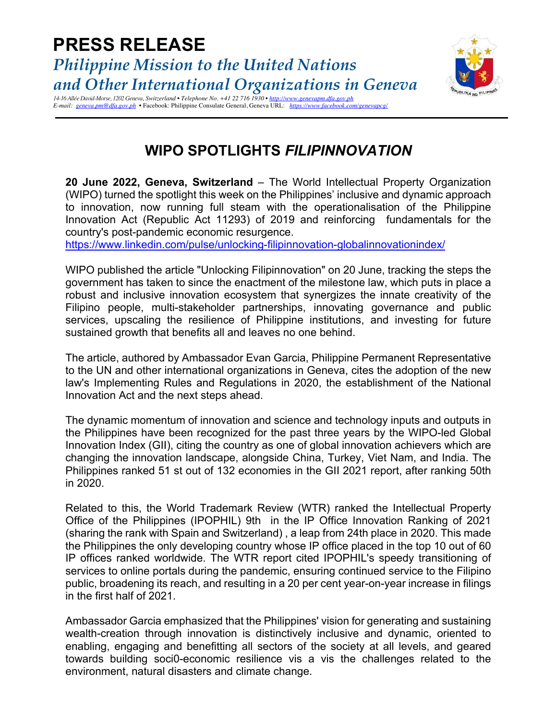

*14-16 Allée David-Morse, 1202 Geneva, Switzerland • Telephone No. +41 22 716 1930 • http://www.genevapm.dfa.gov.ph E-mail: geneva.pm@dfa.gov.ph* • Facebook: Philippine Consulate General, Geneva URL: *https://www.facebook.com/general*/

## **WIPO SPOTLIGHTS** *FILIPINNOVATION*

**20 June 2022, Geneva, Switzerland** – The World Intellectual Property Organization (WIPO) turned the spotlight this week on the Philippines' inclusive and dynamic approach to innovation, now running full steam with the operationalisation of the Philippine Innovation Act (Republic Act 11293) of 2019 and reinforcing fundamentals for the country's post-pandemic economic resurgence.

https://www.linkedin.com/pulse/unlocking-filipinnovation-globalinnovationindex/

WIPO published the article "Unlocking Filipinnovation" on 20 June, tracking the steps the government has taken to since the enactment of the milestone law, which puts in place a robust and inclusive innovation ecosystem that synergizes the innate creativity of the Filipino people, multi-stakeholder partnerships, innovating governance and public services, upscaling the resilience of Philippine institutions, and investing for future sustained growth that benefits all and leaves no one behind.

The article, authored by Ambassador Evan Garcia, Philippine Permanent Representative to the UN and other international organizations in Geneva, cites the adoption of the new law's Implementing Rules and Regulations in 2020, the establishment of the National Innovation Act and the next steps ahead.

The dynamic momentum of innovation and science and technology inputs and outputs in the Philippines have been recognized for the past three years by the WIPO-led Global Innovation Index (GII), citing the country as one of global innovation achievers which are changing the innovation landscape, alongside China, Turkey, Viet Nam, and India. The Philippines ranked 51 st out of 132 economies in the GII 2021 report, after ranking 50th in 2020.

Related to this, the World Trademark Review (WTR) ranked the Intellectual Property Office of the Philippines (IPOPHIL) 9th in the IP Office Innovation Ranking of 2021 (sharing the rank with Spain and Switzerland) , a leap from 24th place in 2020. This made the Philippines the only developing country whose IP office placed in the top 10 out of 60 IP offices ranked worldwide. The WTR report cited IPOPHIL's speedy transitioning of services to online portals during the pandemic, ensuring continued service to the Filipino public, broadening its reach, and resulting in a 20 per cent year-on-year increase in filings in the first half of 2021.

Ambassador Garcia emphasized that the Philippines' vision for generating and sustaining wealth-creation through innovation is distinctively inclusive and dynamic, oriented to enabling, engaging and benefitting all sectors of the society at all levels, and geared towards building soci0-economic resilience vis a vis the challenges related to the environment, natural disasters and climate change.